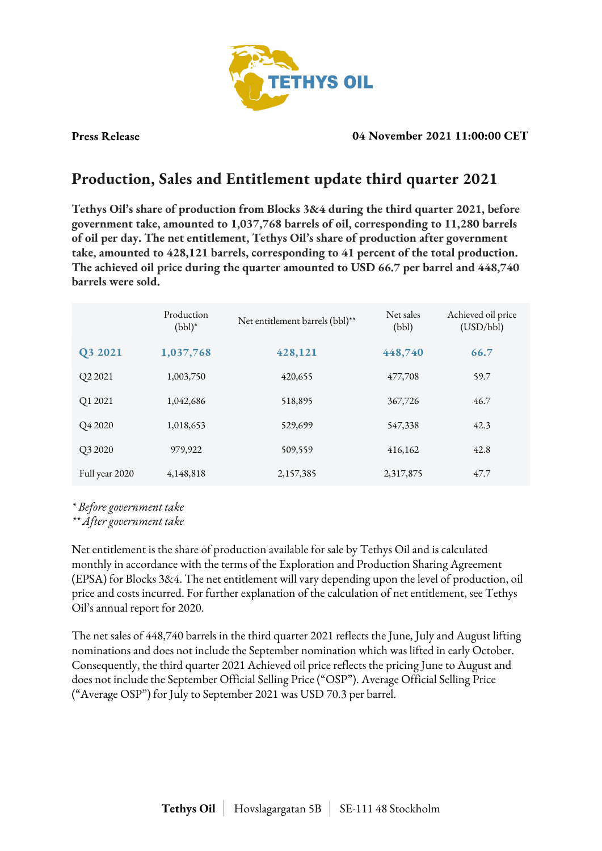

### **Press Release 04 November 2021 11:00:00 CET**

# **Production, Sales and Entitlement update third quarter 2021**

**Tethys Oil's share of production from Blocks 3&4 during the third quarter 2021, before government take, amounted to 1,037,768 barrels of oil, corresponding to 11,280 barrels of oil per day. The net entitlement, Tethys Oil's share of production after government take, amounted to 428,121 barrels, corresponding to 41 percent of the total production. The achieved oil price during the quarter amounted to USD 66.7 per barrel and 448,740 barrels were sold.**

|                     | Production<br>$(bbl)^*$ | Net entitlement barrels (bbl)** | Net sales<br>(bbl) | Achieved oil price<br>(USD/bbl) |
|---------------------|-------------------------|---------------------------------|--------------------|---------------------------------|
| Q3 2021             | 1,037,768               | 428,121                         | 448,740            | 66.7                            |
| Q2 2021             | 1,003,750               | 420,655                         | 477,708            | 59.7                            |
| Q1 2021             | 1,042,686               | 518,895                         | 367,726            | 46.7                            |
| O <sub>4</sub> 2020 | 1,018,653               | 529,699                         | 547,338            | 42.3                            |
| Q3 2020             | 979,922                 | 509,559                         | 416,162            | 42.8                            |
| Full year 2020      | 4,148,818               | 2,157,385                       | 2,317,875          | 47.7                            |

*\* Before government take*

*\*\* After government take*

Net entitlement is the share of production available for sale by Tethys Oil and is calculated monthly in accordance with the terms of the Exploration and Production Sharing Agreement (EPSA) for Blocks 3&4. The net entitlement will vary depending upon the level of production, oil price and costs incurred. For further explanation of the calculation of net entitlement, see Tethys Oil's annual report for 2020.

The net sales of 448,740 barrels in the third quarter 2021 reflects the June, July and August lifting nominations and does not include the September nomination which was lifted in early October. Consequently, the third quarter 2021 Achieved oil price reflects the pricing June to August and does not include the September Official Selling Price ("OSP"). Average Official Selling Price ("Average OSP") for July to September 2021 was USD 70.3 per barrel.